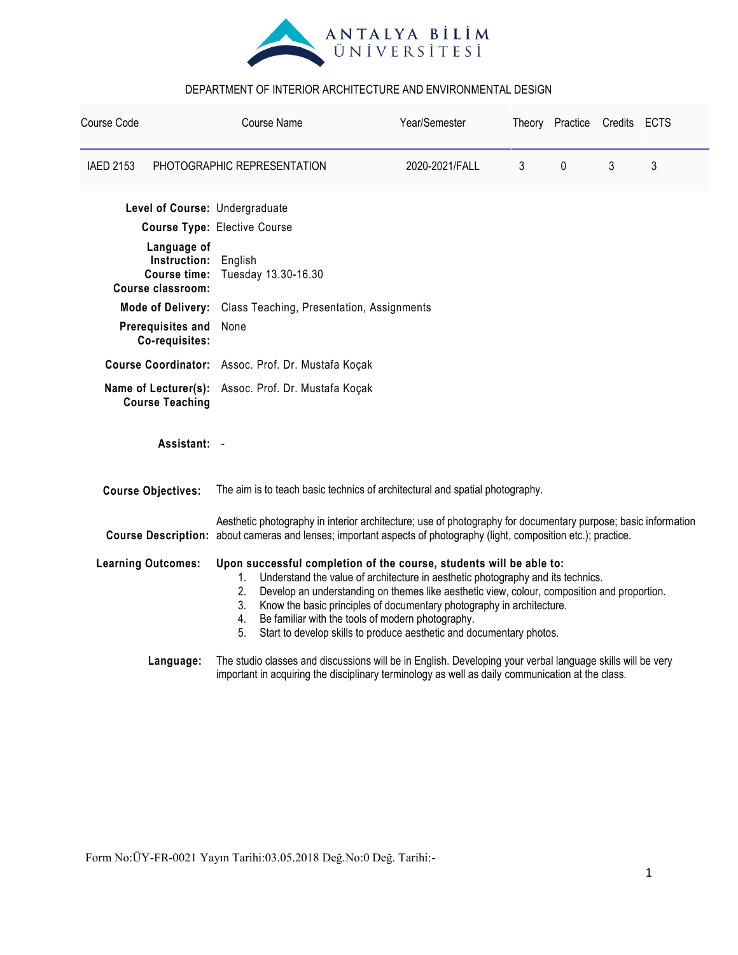

| Course Code      |                                                                                                                                                                                                                                                                                                                                                                                                                                                                                                                        |                                                                                                                                                                                                                                      | <b>Course Name</b>                        | Year/Semester  |           | Theory Practice Credits ECTS |   |  |  |
|------------------|------------------------------------------------------------------------------------------------------------------------------------------------------------------------------------------------------------------------------------------------------------------------------------------------------------------------------------------------------------------------------------------------------------------------------------------------------------------------------------------------------------------------|--------------------------------------------------------------------------------------------------------------------------------------------------------------------------------------------------------------------------------------|-------------------------------------------|----------------|-----------|------------------------------|---|--|--|
| <b>IAED 2153</b> | PHOTOGRAPHIC REPRESENTATION                                                                                                                                                                                                                                                                                                                                                                                                                                                                                            |                                                                                                                                                                                                                                      | 2020-2021/FALL                            | $\mathfrak{Z}$ | $\pmb{0}$ | 3                            | 3 |  |  |
|                  | Level of Course: Undergraduate                                                                                                                                                                                                                                                                                                                                                                                                                                                                                         |                                                                                                                                                                                                                                      |                                           |                |           |                              |   |  |  |
|                  | <b>Course Type: Elective Course</b>                                                                                                                                                                                                                                                                                                                                                                                                                                                                                    |                                                                                                                                                                                                                                      |                                           |                |           |                              |   |  |  |
|                  | Language of<br>Instruction:<br><b>Course time:</b><br><b>Course classroom:</b>                                                                                                                                                                                                                                                                                                                                                                                                                                         | English<br>Tuesday 13.30-16.30                                                                                                                                                                                                       |                                           |                |           |                              |   |  |  |
|                  | <b>Mode of Delivery:</b>                                                                                                                                                                                                                                                                                                                                                                                                                                                                                               |                                                                                                                                                                                                                                      | Class Teaching, Presentation, Assignments |                |           |                              |   |  |  |
|                  | Prerequisites and<br>Co-requisites:                                                                                                                                                                                                                                                                                                                                                                                                                                                                                    | None                                                                                                                                                                                                                                 |                                           |                |           |                              |   |  |  |
|                  |                                                                                                                                                                                                                                                                                                                                                                                                                                                                                                                        | Course Coordinator: Assoc. Prof. Dr. Mustafa Koçak                                                                                                                                                                                   |                                           |                |           |                              |   |  |  |
|                  | <b>Course Teaching</b>                                                                                                                                                                                                                                                                                                                                                                                                                                                                                                 | Name of Lecturer(s): Assoc. Prof. Dr. Mustafa Koçak                                                                                                                                                                                  |                                           |                |           |                              |   |  |  |
|                  | Assistant: -                                                                                                                                                                                                                                                                                                                                                                                                                                                                                                           |                                                                                                                                                                                                                                      |                                           |                |           |                              |   |  |  |
|                  | <b>Course Objectives:</b>                                                                                                                                                                                                                                                                                                                                                                                                                                                                                              | The aim is to teach basic technics of architectural and spatial photography.                                                                                                                                                         |                                           |                |           |                              |   |  |  |
|                  |                                                                                                                                                                                                                                                                                                                                                                                                                                                                                                                        | Aesthetic photography in interior architecture; use of photography for documentary purpose; basic information<br>Course Description: about cameras and lenses; important aspects of photography (light, composition etc.); practice. |                                           |                |           |                              |   |  |  |
|                  | <b>Learning Outcomes:</b><br>Upon successful completion of the course, students will be able to:<br>Understand the value of architecture in aesthetic photography and its technics.<br>1.<br>2.<br>Develop an understanding on themes like aesthetic view, colour, composition and proportion.<br>Know the basic principles of documentary photography in architecture.<br>3.<br>Be familiar with the tools of modern photography.<br>4.<br>Start to develop skills to produce aesthetic and documentary photos.<br>5. |                                                                                                                                                                                                                                      |                                           |                |           |                              |   |  |  |
|                  | The studio classes and discussions will be in English. Developing your verbal language skills will be very<br>Language:<br>important in acquiring the disciplinary terminology as well as daily communication at the class.                                                                                                                                                                                                                                                                                            |                                                                                                                                                                                                                                      |                                           |                |           |                              |   |  |  |

Form No:ÜY-FR-0021 Yayın Tarihi:03.05.2018 Değ.No:0 Değ. Tarihi:-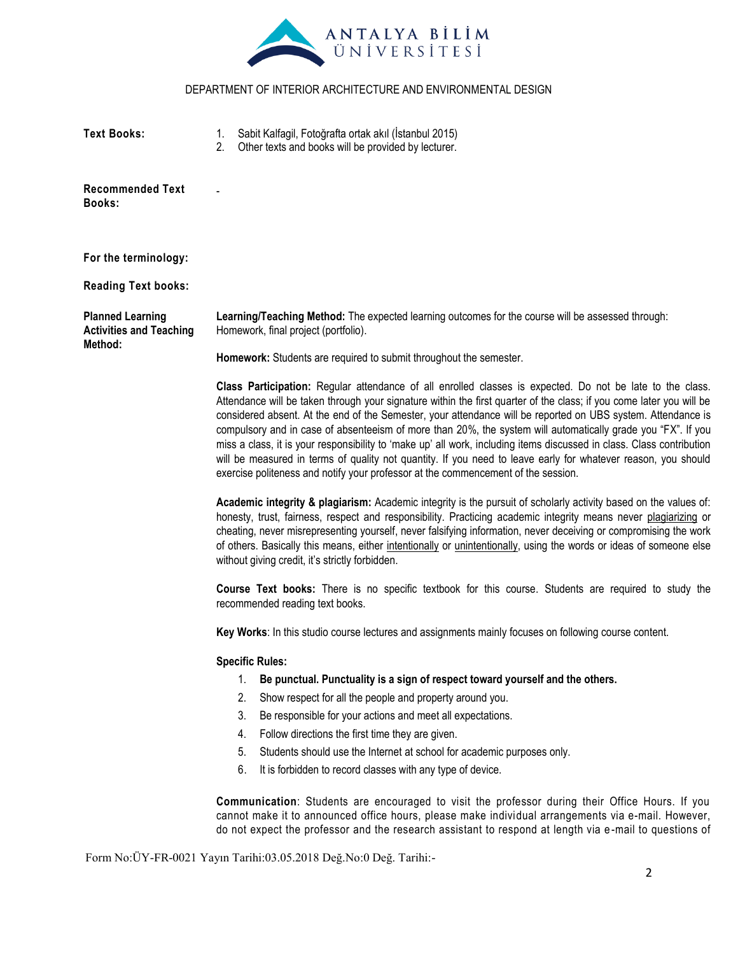

| <b>Text Books:</b>                                                   | Sabit Kalfagil, Fotoğrafta ortak akıl (İstanbul 2015)<br>Other texts and books will be provided by lecturer.                                                                                                                                                                                                                                                                                                                                                                                                                                                                                                                                                                                                                                                                                     |  |  |  |  |
|----------------------------------------------------------------------|--------------------------------------------------------------------------------------------------------------------------------------------------------------------------------------------------------------------------------------------------------------------------------------------------------------------------------------------------------------------------------------------------------------------------------------------------------------------------------------------------------------------------------------------------------------------------------------------------------------------------------------------------------------------------------------------------------------------------------------------------------------------------------------------------|--|--|--|--|
| <b>Recommended Text</b><br><b>Books:</b>                             |                                                                                                                                                                                                                                                                                                                                                                                                                                                                                                                                                                                                                                                                                                                                                                                                  |  |  |  |  |
| For the terminology:                                                 |                                                                                                                                                                                                                                                                                                                                                                                                                                                                                                                                                                                                                                                                                                                                                                                                  |  |  |  |  |
| <b>Reading Text books:</b>                                           |                                                                                                                                                                                                                                                                                                                                                                                                                                                                                                                                                                                                                                                                                                                                                                                                  |  |  |  |  |
| <b>Planned Learning</b><br><b>Activities and Teaching</b><br>Method: | Learning/Teaching Method: The expected learning outcomes for the course will be assessed through:<br>Homework, final project (portfolio).                                                                                                                                                                                                                                                                                                                                                                                                                                                                                                                                                                                                                                                        |  |  |  |  |
|                                                                      | Homework: Students are required to submit throughout the semester.                                                                                                                                                                                                                                                                                                                                                                                                                                                                                                                                                                                                                                                                                                                               |  |  |  |  |
|                                                                      | Class Participation: Regular attendance of all enrolled classes is expected. Do not be late to the class.<br>Attendance will be taken through your signature within the first quarter of the class; if you come later you will be<br>considered absent. At the end of the Semester, your attendance will be reported on UBS system. Attendance is<br>compulsory and in case of absenteeism of more than 20%, the system will automatically grade you "FX". If you<br>miss a class, it is your responsibility to 'make up' all work, including items discussed in class. Class contribution<br>will be measured in terms of quality not quantity. If you need to leave early for whatever reason, you should<br>exercise politeness and notify your professor at the commencement of the session. |  |  |  |  |
|                                                                      | Academic integrity & plagiarism: Academic integrity is the pursuit of scholarly activity based on the values of:<br>honesty, trust, fairness, respect and responsibility. Practicing academic integrity means never plagiarizing or<br>cheating, never misrepresenting yourself, never falsifying information, never deceiving or compromising the work<br>of others. Basically this means, either intentionally or unintentionally, using the words or ideas of someone else<br>without giving credit, it's strictly forbidden.                                                                                                                                                                                                                                                                 |  |  |  |  |
|                                                                      | Course Text books: There is no specific textbook for this course. Students are required to study the<br>recommended reading text books.                                                                                                                                                                                                                                                                                                                                                                                                                                                                                                                                                                                                                                                          |  |  |  |  |
|                                                                      | Key Works: In this studio course lectures and assignments mainly focuses on following course content.                                                                                                                                                                                                                                                                                                                                                                                                                                                                                                                                                                                                                                                                                            |  |  |  |  |
|                                                                      | <b>Specific Rules:</b>                                                                                                                                                                                                                                                                                                                                                                                                                                                                                                                                                                                                                                                                                                                                                                           |  |  |  |  |
|                                                                      | Be punctual. Punctuality is a sign of respect toward yourself and the others.<br>1.                                                                                                                                                                                                                                                                                                                                                                                                                                                                                                                                                                                                                                                                                                              |  |  |  |  |
|                                                                      | 2.<br>Show respect for all the people and property around you.                                                                                                                                                                                                                                                                                                                                                                                                                                                                                                                                                                                                                                                                                                                                   |  |  |  |  |
|                                                                      | 3.<br>Be responsible for your actions and meet all expectations.                                                                                                                                                                                                                                                                                                                                                                                                                                                                                                                                                                                                                                                                                                                                 |  |  |  |  |
|                                                                      | Follow directions the first time they are given.<br>4.                                                                                                                                                                                                                                                                                                                                                                                                                                                                                                                                                                                                                                                                                                                                           |  |  |  |  |
|                                                                      | 5.<br>Students should use the Internet at school for academic purposes only.                                                                                                                                                                                                                                                                                                                                                                                                                                                                                                                                                                                                                                                                                                                     |  |  |  |  |
|                                                                      | 6.<br>It is forbidden to record classes with any type of device.                                                                                                                                                                                                                                                                                                                                                                                                                                                                                                                                                                                                                                                                                                                                 |  |  |  |  |
|                                                                      | <b>Communication:</b> Students are encouraged to visit the professor during their Office Hours. If you<br>cannot make it to announced office hours, please make individual arrangements via e-mail. However,<br>do not expect the professor and the research assistant to respond at length via e-mail to questions of                                                                                                                                                                                                                                                                                                                                                                                                                                                                           |  |  |  |  |

Form No:ÜY-FR-0021 Yayın Tarihi:03.05.2018 Değ.No:0 Değ. Tarihi:-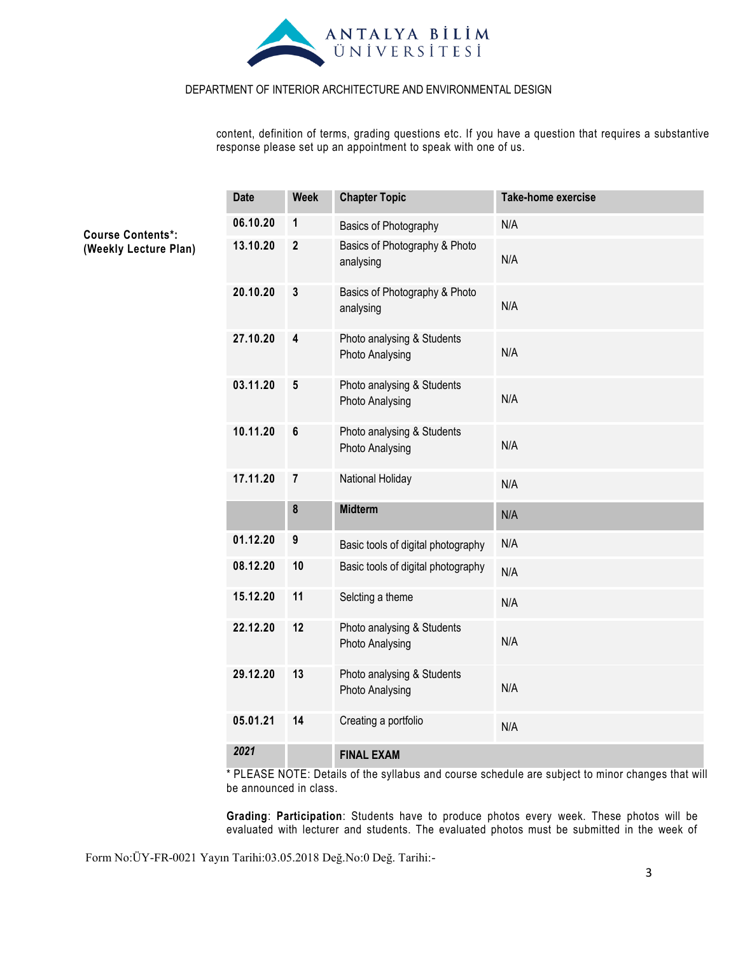

content, definition of terms, grading questions etc. If you have a question that requires a substantive response please set up an appointment to speak with one of us.

| <b>Date</b> | <b>Week</b>             | <b>Chapter Topic</b>                          | <b>Take-home exercise</b> |
|-------------|-------------------------|-----------------------------------------------|---------------------------|
| 06.10.20    | 1                       | Basics of Photography                         | N/A                       |
| 13.10.20    | $\mathbf{2}$            | Basics of Photography & Photo<br>analysing    | N/A                       |
| 20.10.20    | $\mathbf{3}$            | Basics of Photography & Photo<br>analysing    | N/A                       |
| 27.10.20    | $\overline{\mathbf{4}}$ | Photo analysing & Students<br>Photo Analysing | N/A                       |
| 03.11.20    | 5                       | Photo analysing & Students<br>Photo Analysing | N/A                       |
| 10.11.20    | 6                       | Photo analysing & Students<br>Photo Analysing | N/A                       |
| 17.11.20    | $\overline{7}$          | National Holiday                              | N/A                       |
|             | 8                       | <b>Midterm</b>                                | N/A                       |
| 01.12.20    | 9                       | Basic tools of digital photography            | N/A                       |
| 08.12.20    | 10                      | Basic tools of digital photography            | N/A                       |
| 15.12.20    | 11                      | Selcting a theme                              | N/A                       |
| 22.12.20    | 12                      | Photo analysing & Students<br>Photo Analysing | N/A                       |
| 29.12.20    | 13                      | Photo analysing & Students<br>Photo Analysing | N/A                       |
| 05.01.21    | 14                      | Creating a portfolio                          | N/A                       |
| 2021        |                         | <b>FINAL EXAM</b>                             |                           |

\* PLEASE NOTE: Details of the syllabus and course schedule are subject to minor changes that will be announced in class.

**Grading**: **Participation**: Students have to produce photos every week. These photos will be evaluated with lecturer and students. The evaluated photos must be submitted in the week of

Form No:ÜY-FR-0021 Yayın Tarihi:03.05.2018 Değ.No:0 Değ. Tarihi:-

**Course Contents\*: (Weekly Lecture Plan)**